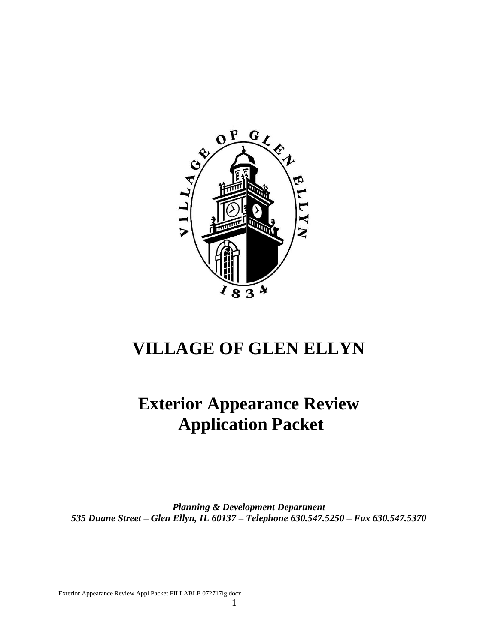

# **VILLAGE OF GLEN ELLYN**

# **Exterior Appearance Review Application Packet**

*Planning & Development Department 535 Duane Street – Glen Ellyn, IL 60137 – Telephone 630.547.5250 – Fax 630.547.5370*

Exterior Appearance Review Appl Packet FILLABLE 072717lg.docx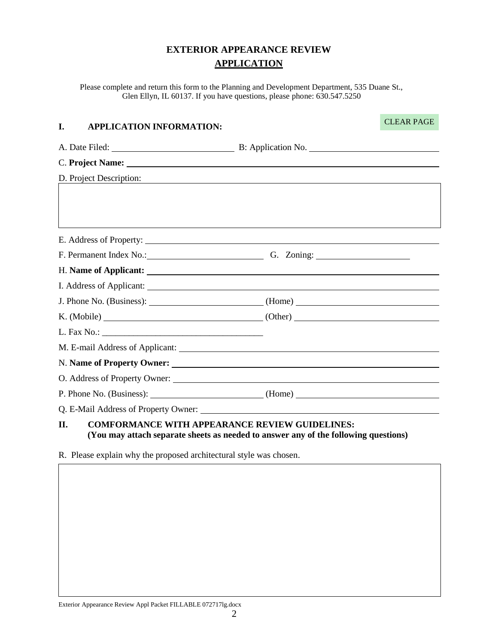# **EXTERIOR APPEARANCE REVIEW APPLICATION**

Please complete and return this form to the Planning and Development Department, 535 Duane St., Glen Ellyn, IL 60137. If you have questions, please phone: 630.547.5250

#### **I. APPLICATION INFORMATION:**

CLEAR PAGE

| D. Project Description:                                      | ,我们也不会有什么。""我们的人,我们也不会有什么?""我们的人,我们也不会有什么?""我们的人,我们也不会有什么?""我们的人,我们也不会有什么?""我们的人 |  |
|--------------------------------------------------------------|----------------------------------------------------------------------------------|--|
|                                                              |                                                                                  |  |
|                                                              |                                                                                  |  |
|                                                              | ,我们也不会有什么。""我们的人,我们也不会有什么?""我们的人,我们也不会有什么?""我们的人,我们也不会有什么?""我们的人,我们也不会有什么?""我们的人 |  |
|                                                              |                                                                                  |  |
|                                                              | F. Permanent Index No.: G. Zoning: G. Zoning:                                    |  |
|                                                              |                                                                                  |  |
|                                                              |                                                                                  |  |
|                                                              |                                                                                  |  |
|                                                              |                                                                                  |  |
|                                                              |                                                                                  |  |
|                                                              |                                                                                  |  |
|                                                              |                                                                                  |  |
|                                                              |                                                                                  |  |
|                                                              |                                                                                  |  |
|                                                              |                                                                                  |  |
| II.<br><b>COMFORMANCE WITH APPEARANCE REVIEW GUIDELINES:</b> |                                                                                  |  |

**(You may attach separate sheets as needed to answer any of the following questions)**

R. Please explain why the proposed architectural style was chosen.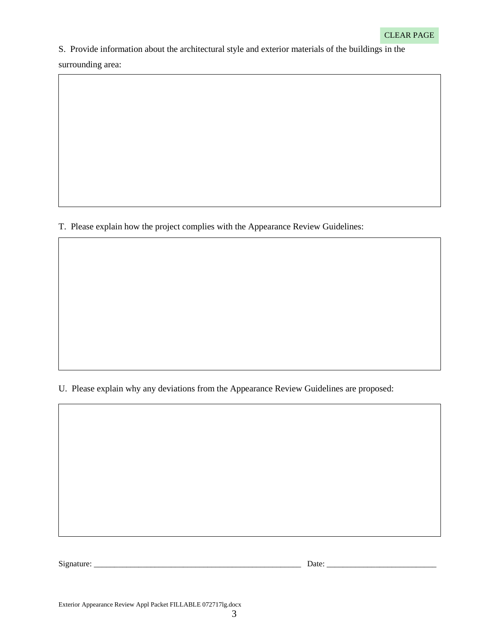S. Provide information about the architectural style and exterior materials of the buildings in the

surrounding area:

T. Please explain how the project complies with the Appearance Review Guidelines:

U. Please explain why any deviations from the Appearance Review Guidelines are proposed:

Signature: \_\_\_\_\_\_\_\_\_\_\_\_\_\_\_\_\_\_\_\_\_\_\_\_\_\_\_\_\_\_\_\_\_\_\_\_\_\_\_\_\_\_\_\_\_\_\_\_\_\_\_ Date: \_\_\_\_\_\_\_\_\_\_\_\_\_\_\_\_\_\_\_\_\_\_\_\_\_\_\_

Exterior Appearance Review Appl Packet FILLABLE 072717lg.docx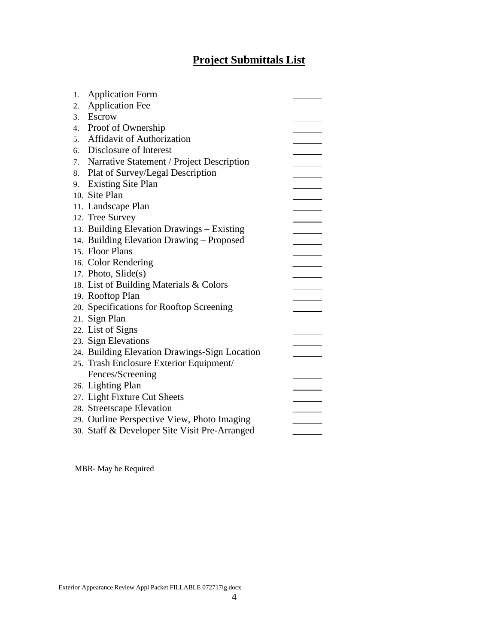# **Project Submittals List**

| 1. | <b>Application Form</b>                       |  |
|----|-----------------------------------------------|--|
| 2. | <b>Application Fee</b>                        |  |
| 3. | Escrow                                        |  |
| 4. | Proof of Ownership                            |  |
| 5. | <b>Affidavit of Authorization</b>             |  |
| 6. | Disclosure of Interest                        |  |
| 7. | Narrative Statement / Project Description     |  |
| 8. | Plat of Survey/Legal Description              |  |
| 9. | <b>Existing Site Plan</b>                     |  |
|    | 10. Site Plan                                 |  |
|    | 11. Landscape Plan                            |  |
|    | 12. Tree Survey                               |  |
|    | 13. Building Elevation Drawings - Existing    |  |
|    | 14. Building Elevation Drawing - Proposed     |  |
|    | 15. Floor Plans                               |  |
|    |                                               |  |
|    | 16. Color Rendering                           |  |
|    | 17. Photo, Slide(s)                           |  |
|    | 18. List of Building Materials & Colors       |  |
|    | 19. Rooftop Plan                              |  |
|    | 20. Specifications for Rooftop Screening      |  |
|    | 21. Sign Plan                                 |  |
|    | 22. List of Signs                             |  |
|    | 23. Sign Elevations                           |  |
|    | 24. Building Elevation Drawings-Sign Location |  |
|    | 25. Trash Enclosure Exterior Equipment/       |  |
|    | Fences/Screening                              |  |
|    | 26. Lighting Plan                             |  |
|    | 27. Light Fixture Cut Sheets                  |  |
|    | 28. Streetscape Elevation                     |  |
|    | 29. Outline Perspective View, Photo Imaging   |  |
|    | 30. Staff & Developer Site Visit Pre-Arranged |  |

MBR- May be Required

Exterior Appearance Review Appl Packet FILLABLE 072717lg.docx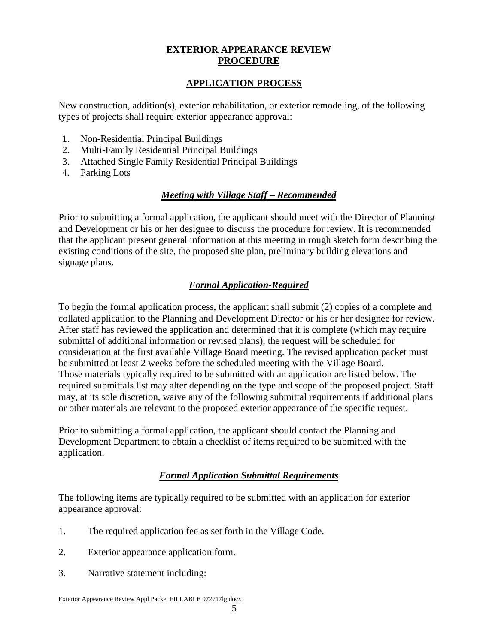#### **EXTERIOR APPEARANCE REVIEW PROCEDURE**

#### **APPLICATION PROCESS**

New construction, addition(s), exterior rehabilitation, or exterior remodeling, of the following types of projects shall require exterior appearance approval:

- 1. Non-Residential Principal Buildings
- 2. Multi-Family Residential Principal Buildings
- 3. Attached Single Family Residential Principal Buildings
- 4. Parking Lots

# *Meeting with Village Staff – Recommended*

Prior to submitting a formal application, the applicant should meet with the Director of Planning and Development or his or her designee to discuss the procedure for review. It is recommended that the applicant present general information at this meeting in rough sketch form describing the existing conditions of the site, the proposed site plan, preliminary building elevations and signage plans.

# *Formal Application-Required*

To begin the formal application process, the applicant shall submit (2) copies of a complete and collated application to the Planning and Development Director or his or her designee for review. After staff has reviewed the application and determined that it is complete (which may require submittal of additional information or revised plans), the request will be scheduled for consideration at the first available Village Board meeting. The revised application packet must be submitted at least 2 weeks before the scheduled meeting with the Village Board. Those materials typically required to be submitted with an application are listed below. The required submittals list may alter depending on the type and scope of the proposed project. Staff may, at its sole discretion, waive any of the following submittal requirements if additional plans or other materials are relevant to the proposed exterior appearance of the specific request.

Prior to submitting a formal application, the applicant should contact the Planning and Development Department to obtain a checklist of items required to be submitted with the application.

# *Formal Application Submittal Requirements*

The following items are typically required to be submitted with an application for exterior appearance approval:

- 1. The required application fee as set forth in the Village Code.
- 2. Exterior appearance application form.
- 3. Narrative statement including: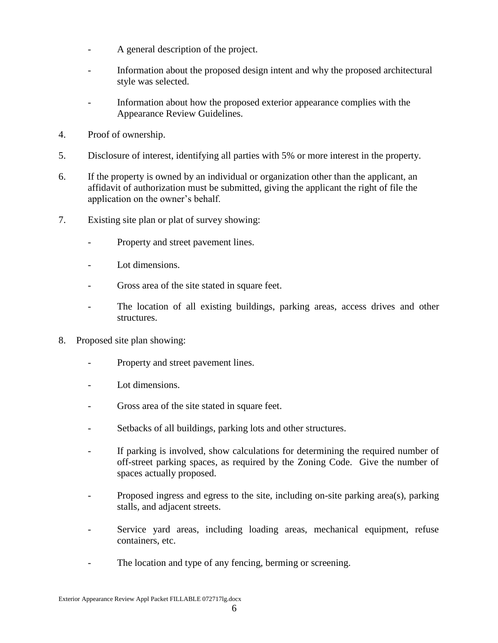- A general description of the project.
- Information about the proposed design intent and why the proposed architectural style was selected.
- Information about how the proposed exterior appearance complies with the Appearance Review Guidelines.
- 4. Proof of ownership.
- 5. Disclosure of interest, identifying all parties with 5% or more interest in the property.
- 6. If the property is owned by an individual or organization other than the applicant, an affidavit of authorization must be submitted, giving the applicant the right of file the application on the owner's behalf.
- 7. Existing site plan or plat of survey showing:
	- Property and street pavement lines.
	- Lot dimensions.
	- Gross area of the site stated in square feet.
	- The location of all existing buildings, parking areas, access drives and other structures.
- 8. Proposed site plan showing:
	- Property and street pavement lines.
	- Lot dimensions.
	- Gross area of the site stated in square feet.
	- Setbacks of all buildings, parking lots and other structures.
	- If parking is involved, show calculations for determining the required number of off-street parking spaces, as required by the Zoning Code. Give the number of spaces actually proposed.
	- Proposed ingress and egress to the site, including on-site parking area(s), parking stalls, and adjacent streets.
	- Service yard areas, including loading areas, mechanical equipment, refuse containers, etc.
	- The location and type of any fencing, berming or screening.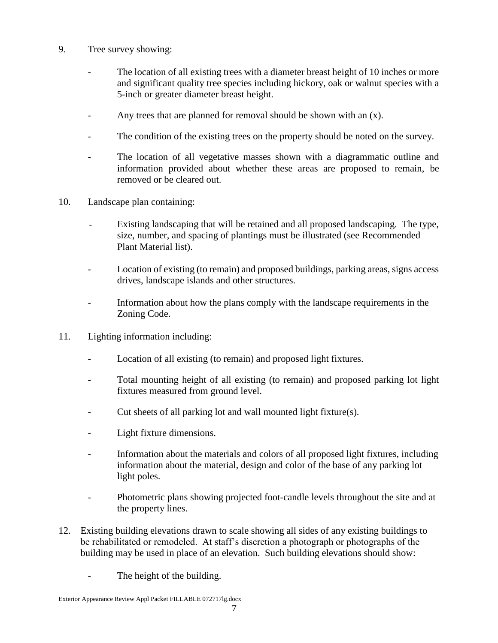- 9. Tree survey showing:
	- The location of all existing trees with a diameter breast height of 10 inches or more and significant quality tree species including hickory, oak or walnut species with a 5-inch or greater diameter breast height.
	- Any trees that are planned for removal should be shown with an (x).
	- The condition of the existing trees on the property should be noted on the survey.
	- The location of all vegetative masses shown with a diagrammatic outline and information provided about whether these areas are proposed to remain, be removed or be cleared out.
- 10. Landscape plan containing:
	- Existing landscaping that will be retained and all proposed landscaping. The type, size, number, and spacing of plantings must be illustrated (see Recommended Plant Material list).
	- Location of existing (to remain) and proposed buildings, parking areas, signs access drives, landscape islands and other structures.
	- Information about how the plans comply with the landscape requirements in the Zoning Code.
- 11. Lighting information including:
	- Location of all existing (to remain) and proposed light fixtures.
	- Total mounting height of all existing (to remain) and proposed parking lot light fixtures measured from ground level.
	- Cut sheets of all parking lot and wall mounted light fixture(s).
	- Light fixture dimensions.
	- Information about the materials and colors of all proposed light fixtures, including information about the material, design and color of the base of any parking lot light poles.
	- Photometric plans showing projected foot-candle levels throughout the site and at the property lines.
- 12. Existing building elevations drawn to scale showing all sides of any existing buildings to be rehabilitated or remodeled. At staff's discretion a photograph or photographs of the building may be used in place of an elevation. Such building elevations should show:
	- The height of the building.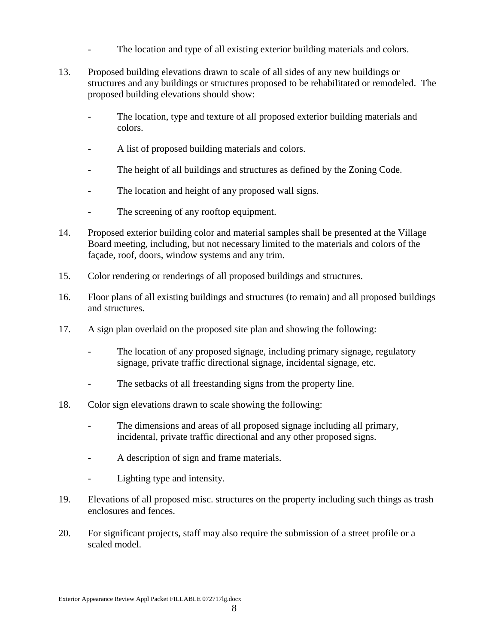- The location and type of all existing exterior building materials and colors.
- 13. Proposed building elevations drawn to scale of all sides of any new buildings or structures and any buildings or structures proposed to be rehabilitated or remodeled. The proposed building elevations should show:
	- The location, type and texture of all proposed exterior building materials and colors.
	- A list of proposed building materials and colors.
	- The height of all buildings and structures as defined by the Zoning Code.
	- The location and height of any proposed wall signs.
	- The screening of any rooftop equipment.
- 14. Proposed exterior building color and material samples shall be presented at the Village Board meeting, including, but not necessary limited to the materials and colors of the façade, roof, doors, window systems and any trim.
- 15. Color rendering or renderings of all proposed buildings and structures.
- 16. Floor plans of all existing buildings and structures (to remain) and all proposed buildings and structures.
- 17. A sign plan overlaid on the proposed site plan and showing the following:
	- The location of any proposed signage, including primary signage, regulatory signage, private traffic directional signage, incidental signage, etc.
	- The setbacks of all freestanding signs from the property line.
- 18. Color sign elevations drawn to scale showing the following:
	- The dimensions and areas of all proposed signage including all primary, incidental, private traffic directional and any other proposed signs.
	- A description of sign and frame materials.
	- Lighting type and intensity.
- 19. Elevations of all proposed misc. structures on the property including such things as trash enclosures and fences.
- 20. For significant projects, staff may also require the submission of a street profile or a scaled model.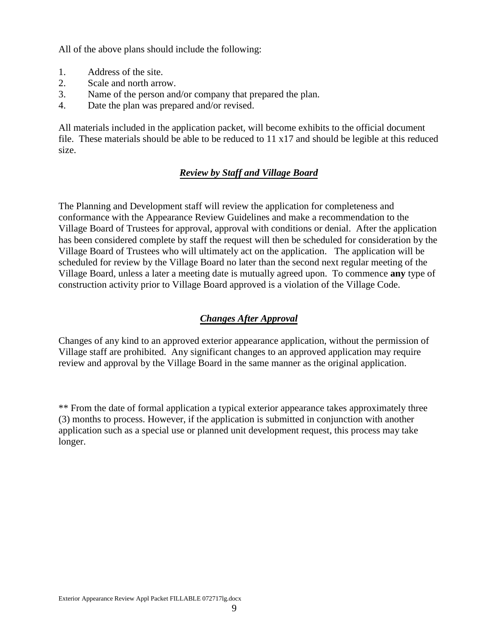All of the above plans should include the following:

- 1. Address of the site.
- 2. Scale and north arrow.
- 3. Name of the person and/or company that prepared the plan.
- 4. Date the plan was prepared and/or revised.

All materials included in the application packet, will become exhibits to the official document file. These materials should be able to be reduced to  $11 \times 17$  and should be legible at this reduced size.

### *Review by Staff and Village Board*

The Planning and Development staff will review the application for completeness and conformance with the Appearance Review Guidelines and make a recommendation to the Village Board of Trustees for approval, approval with conditions or denial. After the application has been considered complete by staff the request will then be scheduled for consideration by the Village Board of Trustees who will ultimately act on the application. The application will be scheduled for review by the Village Board no later than the second next regular meeting of the Village Board, unless a later a meeting date is mutually agreed upon. To commence **any** type of construction activity prior to Village Board approved is a violation of the Village Code.

### *Changes After Approval*

Changes of any kind to an approved exterior appearance application, without the permission of Village staff are prohibited. Any significant changes to an approved application may require review and approval by the Village Board in the same manner as the original application.

\*\* From the date of formal application a typical exterior appearance takes approximately three (3) months to process. However, if the application is submitted in conjunction with another application such as a special use or planned unit development request, this process may take longer.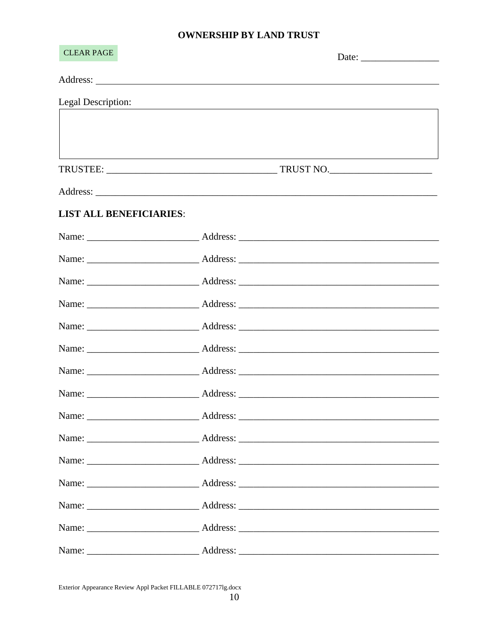### **OWNERSHIP BY LAND TRUST**

| <b>CLEAR PAGE</b>              |  |
|--------------------------------|--|
|                                |  |
| Legal Description:             |  |
|                                |  |
|                                |  |
|                                |  |
|                                |  |
| <b>LIST ALL BENEFICIARIES:</b> |  |
|                                |  |
|                                |  |
|                                |  |
|                                |  |
|                                |  |
|                                |  |
|                                |  |
|                                |  |
|                                |  |
|                                |  |
|                                |  |
|                                |  |
|                                |  |
|                                |  |
|                                |  |

Exterior Appearance Review Appl Packet FILLABLE 0727171g.docx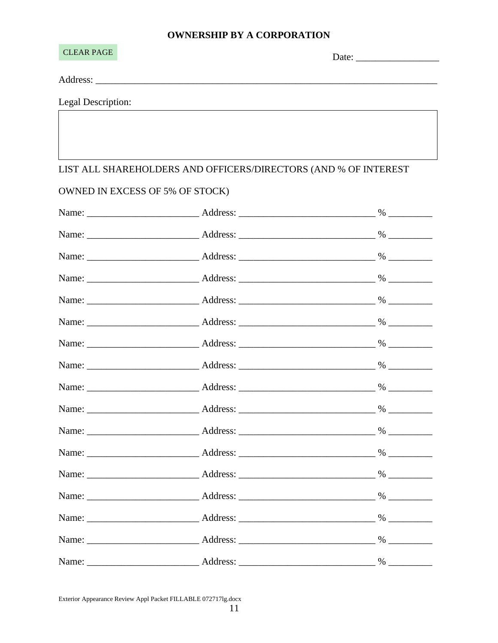# **ID RV A CODDOD ATION**

| OWNERSHIP BY A CORPORATION      |                                                                                                                                                                                                                                |  |  |  |
|---------------------------------|--------------------------------------------------------------------------------------------------------------------------------------------------------------------------------------------------------------------------------|--|--|--|
| <b>CLEAR PAGE</b>               |                                                                                                                                                                                                                                |  |  |  |
|                                 |                                                                                                                                                                                                                                |  |  |  |
| Legal Description:              | and the control of the control of the control of the control of the control of the control of the control of the                                                                                                               |  |  |  |
|                                 |                                                                                                                                                                                                                                |  |  |  |
|                                 |                                                                                                                                                                                                                                |  |  |  |
|                                 | LIST ALL SHAREHOLDERS AND OFFICERS/DIRECTORS (AND % OF INTEREST                                                                                                                                                                |  |  |  |
| OWNED IN EXCESS OF 5% OF STOCK) |                                                                                                                                                                                                                                |  |  |  |
|                                 |                                                                                                                                                                                                                                |  |  |  |
|                                 |                                                                                                                                                                                                                                |  |  |  |
|                                 |                                                                                                                                                                                                                                |  |  |  |
|                                 |                                                                                                                                                                                                                                |  |  |  |
|                                 |                                                                                                                                                                                                                                |  |  |  |
|                                 | Name: 2008 Manners Address: 2008 Manners 2008 Manners 2008 Manners 2008 Manners 2008 Manners 2008 Manners 2008 Manners 2008 Manners 2008 Manners 2008 Manners 2008 Manners 2008 Manners 2008 Manners 2008 Manners 2008 Manners |  |  |  |
|                                 |                                                                                                                                                                                                                                |  |  |  |
|                                 |                                                                                                                                                                                                                                |  |  |  |
|                                 |                                                                                                                                                                                                                                |  |  |  |
|                                 |                                                                                                                                                                                                                                |  |  |  |

Exterior Appearance Review Appl Packet FILLABLE 0727171g.docx